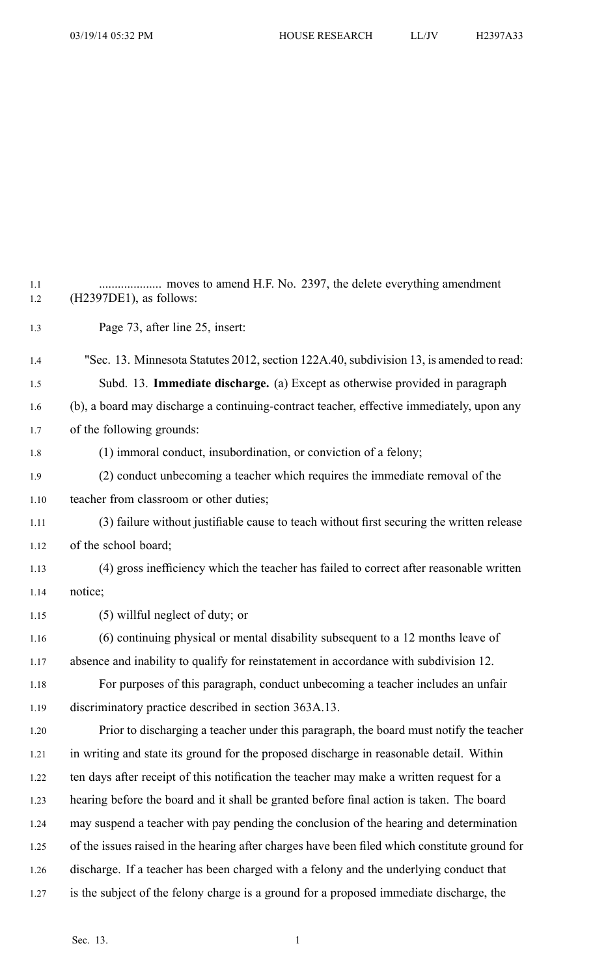| 1.1<br>1.2 | $(H2397DE1)$ , as follows:                                                                    |
|------------|-----------------------------------------------------------------------------------------------|
| 1.3        | Page 73, after line 25, insert:                                                               |
| 1.4        | "Sec. 13. Minnesota Statutes 2012, section 122A.40, subdivision 13, is amended to read:       |
| 1.5        | Subd. 13. <b>Immediate discharge.</b> (a) Except as otherwise provided in paragraph           |
| 1.6        | (b), a board may discharge a continuing-contract teacher, effective immediately, upon any     |
| 1.7        | of the following grounds:                                                                     |
| 1.8        | (1) immoral conduct, insubordination, or conviction of a felony;                              |
| 1.9        | (2) conduct unbecoming a teacher which requires the immediate removal of the                  |
| 1.10       | teacher from classroom or other duties;                                                       |
| 1.11       | (3) failure without justifiable cause to teach without first securing the written release     |
| 1.12       | of the school board;                                                                          |
| 1.13       | (4) gross inefficiency which the teacher has failed to correct after reasonable written       |
| 1.14       | notice;                                                                                       |
| 1.15       | (5) willful neglect of duty; or                                                               |
| 1.16       | (6) continuing physical or mental disability subsequent to a 12 months leave of               |
| 1.17       | absence and inability to qualify for reinstatement in accordance with subdivision 12.         |
| 1.18       | For purposes of this paragraph, conduct unbecoming a teacher includes an unfair               |
| 1.19       | discriminatory practice described in section 363A.13.                                         |
| 1.20       | Prior to discharging a teacher under this paragraph, the board must notify the teacher        |
| 1.21       | in writing and state its ground for the proposed discharge in reasonable detail. Within       |
| 1.22       | ten days after receipt of this notification the teacher may make a written request for a      |
| 1.23       | hearing before the board and it shall be granted before final action is taken. The board      |
| 1.24       | may suspend a teacher with pay pending the conclusion of the hearing and determination        |
| 1.25       | of the issues raised in the hearing after charges have been filed which constitute ground for |
| 1.26       | discharge. If a teacher has been charged with a felony and the underlying conduct that        |
| 1.27       | is the subject of the felony charge is a ground for a proposed immediate discharge, the       |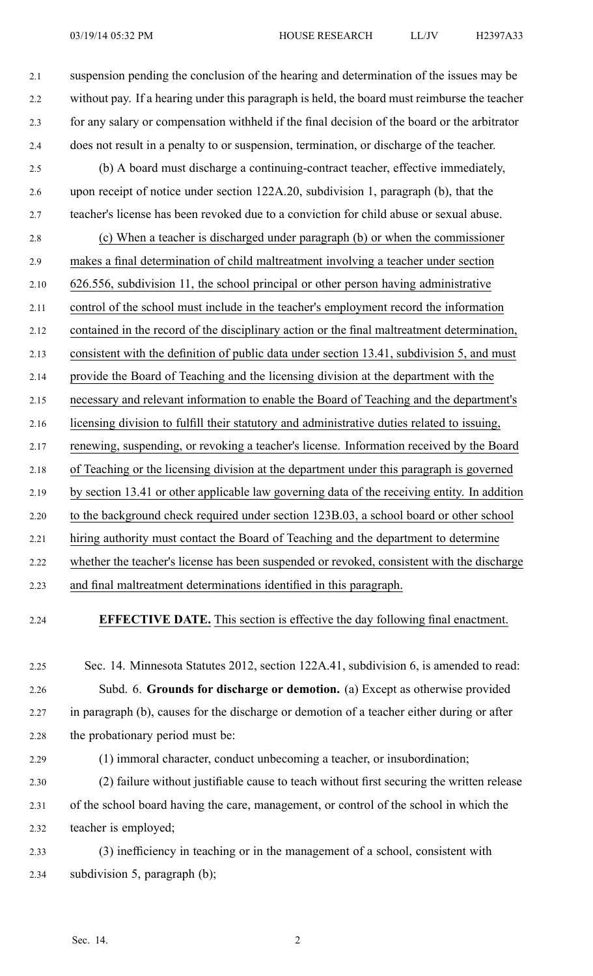2.1 suspension pending the conclusion of the hearing and determination of the issues may be 2.2 without pay. If <sup>a</sup> hearing under this paragraph is held, the board must reimburse the teacher 2.3 for any salary or compensation withheld if the final decision of the board or the arbitrator 2.4 does not result in <sup>a</sup> penalty to or suspension, termination, or discharge of the teacher. 2.5 (b) A board must discharge <sup>a</sup> continuing-contract teacher, effective immediately, 2.6 upon receipt of notice under section 122A.20, subdivision 1, paragraph (b), that the 2.7 teacher's license has been revoked due to <sup>a</sup> conviction for child abuse or sexual abuse. 2.8 (c) When <sup>a</sup> teacher is discharged under paragraph (b) or when the commissioner 2.9 makes <sup>a</sup> final determination of child maltreatment involving <sup>a</sup> teacher under section 2.10 626.556, subdivision 11, the school principal or other person having administrative 2.11 control of the school must include in the teacher's employment record the information 2.12 contained in the record of the disciplinary action or the final maltreatment determination, 2.13 consistent with the definition of public data under section 13.41, subdivision 5, and must 2.14 provide the Board of Teaching and the licensing division at the department with the 2.15 necessary and relevant information to enable the Board of Teaching and the department's 2.16 licensing division to fulfill their statutory and administrative duties related to issuing, 2.17 renewing, suspending, or revoking <sup>a</sup> teacher's license. Information received by the Board 2.18 of Teaching or the licensing division at the department under this paragraph is governed 2.19 by section 13.41 or other applicable law governing data of the receiving entity. In addition 2.20 to the background check required under section 123B.03, <sup>a</sup> school board or other school 2.21 hiring authority must contact the Board of Teaching and the department to determine 2.22 whether the teacher's license has been suspended or revoked, consistent with the discharge

- 2.23 and final maltreatment determinations identified in this paragraph.
- 

2.24 **EFFECTIVE DATE.** This section is effective the day following final enactment.

2.25 Sec. 14. Minnesota Statutes 2012, section 122A.41, subdivision 6, is amended to read: 2.26 Subd. 6. **Grounds for discharge or demotion.** (a) Except as otherwise provided 2.27 in paragraph (b), causes for the discharge or demotion of <sup>a</sup> teacher either during or after 2.28 the probationary period must be:

2.29 (1) immoral character, conduct unbecoming <sup>a</sup> teacher, or insubordination; 2.30 (2) failure without justifiable cause to teach without first securing the written release 2.31 of the school board having the care, management, or control of the school in which the

2.32 teacher is employed;

2.33 (3) inefficiency in teaching or in the managemen<sup>t</sup> of <sup>a</sup> school, consistent with 2.34 subdivision 5, paragraph (b);